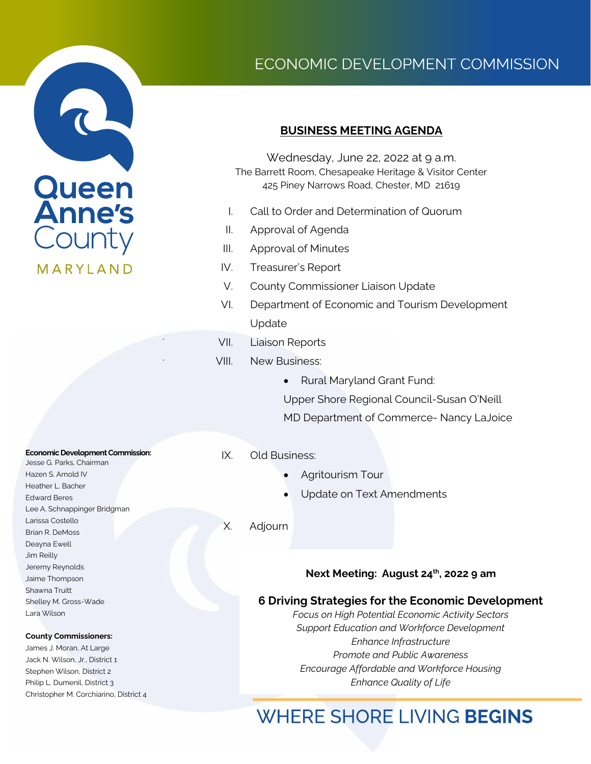

# ECONOMIC DEVELOPMENT COMMISSION

## **BUSINESS MEETING AGENDA**

Wednesday, June 22, 2022 at 9 a.m. The Barrett Room, Chesapeake Heritage & Visitor Center 425 Piney Narrows Road, Chester, MD 21619

- I. Call to Order and Determination of Quorum
- II. Approval of Agenda
- III. Approval of Minutes
- IV. Treasurer's Report
- V. County Commissioner Liaison Update
- VI. Department of Economic and Tourism Development Update
- VII. Liaison Reports
- VIII. New Business:
	- Rural Maryland Grant Fund:

Upper Shore Regional Council-Susan O'Neill MD Department of Commerce- Nancy LaJoice

#### IX. Old Business:

- Agritourism Tour
- Update on Text Amendments
- X. Adjourn

### **Next Meeting: August 24th, 2022 9 am**

### **6 Driving Strategies for the Economic Development**

*Focus on High Potential Economic Activity Sectors Support Education and Workforce Development Enhance Infrastructure Promote and Public Awareness Encourage Affordable and Workforce Housing Enhance Quality of Life*

# **WHERE SHORE LIVING BEGINS**

#### **Economic Development Commission:**

.

.

Jesse G. Parks, Chairman Hazen S. Arnold IV Heather L. Bacher Edward Beres Lee A. Schnappinger Bridgman Larissa Costello Brian R. DeMoss Deayna Ewell Jim Reilly Jeremy Reynolds Jaime Thompson Shawna Truitt Shelley M. Gross-Wade Lara Wilson

#### **County Commissioners:**

James J. Moran, At Large Jack N. Wilson, Jr., District 1 Stephen Wilson, District 2 Philip L. Dumenil, District 3 Christopher M. Corchiarino, District 4